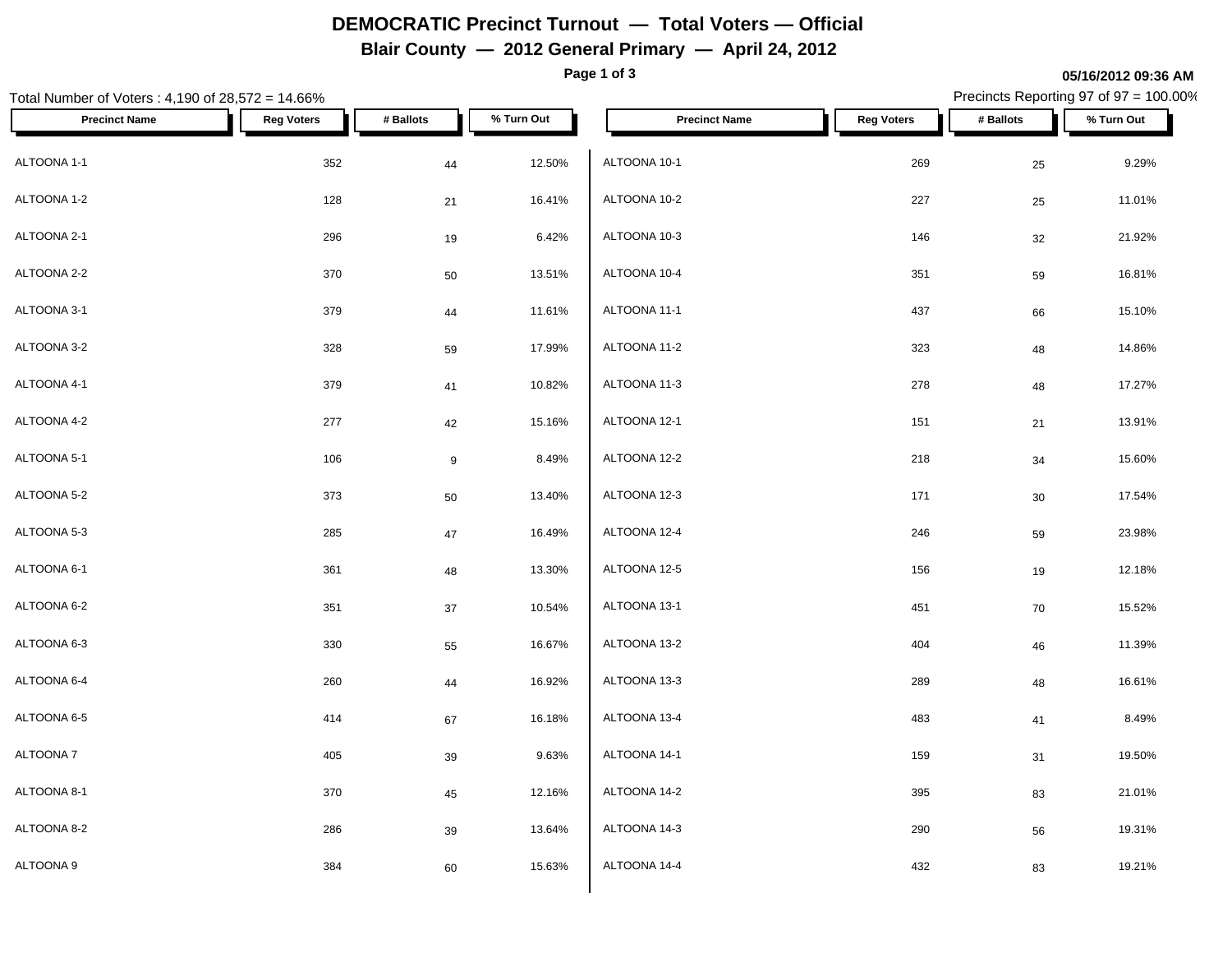# **DEMOCRATIC Precinct Turnout — Total Voters — Official**

### **Blair County — 2012 General Primary — April 24, 2012**

**Page 1 of 3**

#### Total Number of Voters : 4,190 of 28,572 = 14.66% Precincts Reporting 97 of 97 = 100.00% **Precinct Name Reg Voters # Ballots % Turn Out Precinct Name Reg Voters # Ballots % Turn Out** ALTOONA 1-1 352 44 12.50% ALTOONA 1-2 128 21 16.41%  $\textsf{ALTOONA 10-3} \quad \textcolor{red}{\mathsf{ALTOONA\ 10-3}}$ ALTOONA 2-2  $370$   $50$   $13.51\%$   $ALT$   $ALT$   $ADT$ ALTOONA 3-1 379 44 11.61% ALTOONA 3-2 328 59 17.99% ALTOONA 4-1 379 41 10.82% ALTOONA 4-2 277 42 15.16%  $\hbox{ALTOONA 5-1} \hspace{2.5cm} 106 \hspace{2.5cm} 9 \hspace{2.5cm} 8.49\% \hspace{2.5cm} \Big\vert \hspace{2.5cm} \hbox{ALTOONA 12-2} \hspace{2.5cm}$ ALTOONA 5-2  $373$   $50$   $13.40\%$   $ALT$   $ALT$   $ALT$   $3.40\%$   $ALT$   $2.3$ ALTOONA 5-3 285 47 16.49% ALTOONA 6-1 361 48 13.30% ALTOONA 6-2 351 37 10.54% ALTOONA 6-3 330 55 16.67% ALTOONA 6-4 260 44 16.92%  $\begin{array}{cccccccccccccccccc} \mathsf{ALTOONA} & 6-5 & & & & & 414 & & & & & 67 & & & 16.18 & & & \mathsf{ALTOONA} & 13-4 \end{array}$ ALTOONA 7 405 39 9.63% ALTOONA 8-1 370 45 12.16% ALTOONA 8-2 286 39 13.64% ALTOONA 9 384 60 15.63% ALTOONA 10-1 269 25 9.29% ALTOONA 10-2 227 25 11.01% ALTOONA 10-3 146 32 21.92%  $\rm ALTOON$ A 10-4  $\rm 351$   $\rm 59$   $\rm 16.81\%$ ALTOONA 11-1 437 66 15.10% ALTOONA 11-2 323 48 14.86% ALTOONA 11-3 278 278 48 17.27% ALTOONA 12-1 151 21 13.91% ALTOONA 12-2 218 34 15.60% ALTOONA 12-3 171 30 17.54% ALTOONA 12-4 246 59 23.98% ALTOONA 12-5 156 19 12.18% ALTOONA 13-1 451 70 15.52%  $\rm ALTOONA\;13-2 \;$   $\rm 404 \;$   $\rm 46 \;$   $\rm 11.39\%$ ALTOONA 13-3 289 48 16.61%  $\triangle$  ALTOONA 13-4 **483** 483 41 8.49% ALTOONA 14-1 159 31 19.50%  $\rm ALTOON$ A 14-2  $\rm 395$   $\rm 83$   $\rm 21.01\%$ ALTOONA 14-3 290 56 19.31% ALTOONA 14-4 **432** 432 **83** 19.21%

**05/16/2012 09:36 AM**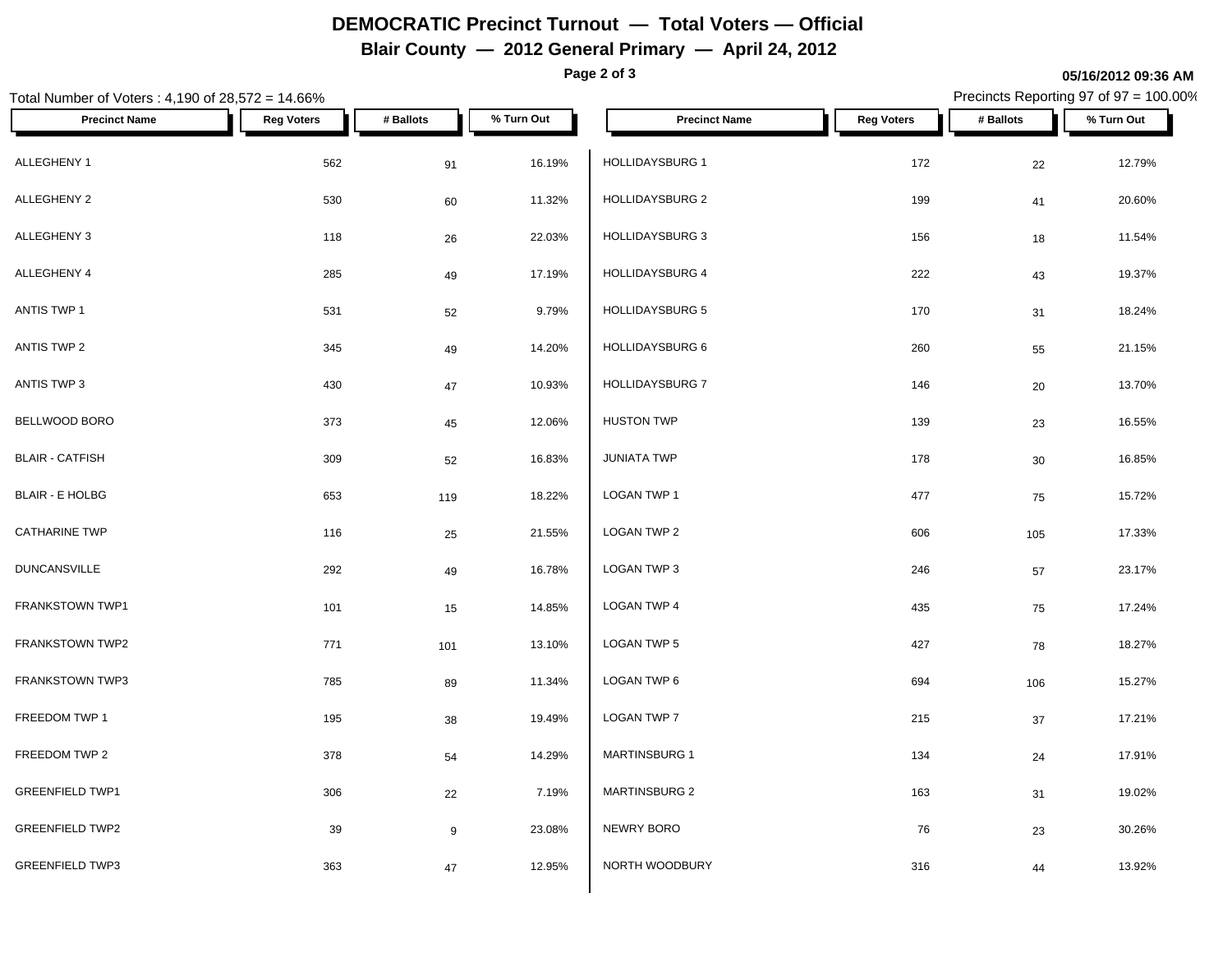# **DEMOCRATIC Precinct Turnout — Total Voters — Official**

### **Blair County — 2012 General Primary — April 24, 2012**

**Page 2 of 3**

**05/16/2012 09:36 AM**

### Total Number of Voters : 4,190 of 28,572 = 14.66% Precincts Reporting 97 of 97 = 100.00% **Precinct Name Reg Voters # Ballots % Turn Out Precinct Name Reg Voters # Ballots % Turn Out** ALLEGHENY 1 562 91 16.19% HOLLIDAYSBURG 1 ALLEGHENY 2 530 60 11.32% | HOLLIDAYSBURG 2 199 41 20.60% ALLEGHENY 3 118 <sub>26</sub> 22.03% | HOLLIDAYSBURG 3 156 18 11.54% ALLEGHENY 4 285 49 17.19% HOLLIDAYSBURG 4 ANTIS TWP 1 531 52 9.79% HOLLIDAYSBURG 5 170 31 18.24% ANTIS TWP 2 345 49 14.20% HOLLIDAYSBURG 6 260 55 21.15% ANTIS TWP 3 430 430 430 47 10.93% HOLLIDAYSBURG 7 BELLWOOD BORO 373 45 12.06% BLAIR - CATFISH 309 52 16.83% BLAIR - E HOLBG 653 119 18.22%  $\textsf{CATHARINE TWP}$  . The contract of the contract of the contract  $25$  21.55%  $\textsf{CCTATE}$   $25$ DUNCANSVILLE 292 49 16.78% FRANKSTOWN TWP1 101 101 15 14.85% LOGAN TWP 4 FRANKSTOWN TWP2 **101** 13.10% 101 13.10% LOGAN TWP 5 FRANKSTOWN TWP3 **11.34%** T85 89 11.34% LOGAN TWP 6 FREEDOM TWP 1  $195$   $38$   $19.49\%$   $\lfloor$  LOGAN TWP 7  $\lfloor$ FREEDOM TWP 2 378 54 14.29% MARTINSBURG 1 GREENFIELD TWP1 306 306 22 7.19% MARTINSBURG 2 GREENFIELD TWP2 39 39 39 39 31.08% NEWRY BORO GREENFIELD TWP3 363 47 12.95% NORTH WOODBURY HOLLIDAYSBURG 1 172 22 12.79% HOLLIDAYSBURG 4 222 43 19.37% HOLLIDAYSBURG 7 146 20 13.70%  $H$ USTON TWP 139 23 16.55%  $JUNIATA$  TWP  $178$   $30$   $16.85\%$  $\begin{array}{ccccccc} \textsf{LOGAN TWP 1} & & & & 477 & & & & 75 & & 15.72\% \end{array}$  $\textsf{\small LOGAN\,TWP\,2}\qquad \qquad 606\qquad \qquad 105\qquad \qquad 17.33\%$  $\textsf{\small LOGAN\,TWP\,3}\quad 246\quad 57\quad 23.17\%$ LOGAN TWP 4 435 75 17.24%  $\overline{18}$  LOGAN TWP 5  $\overline{18}$   $\overline{27}$   $\overline{78}$   $\overline{78}$   $\overline{18.27\%}$  $\textsf{\small LOGAN\,TWP\,6}\qquad \qquad 694\qquad \qquad 106\qquad \qquad 15.27\%$  $\textsf{\small LOGAN\,TWP\,7}\qquad \qquad 215\qquad \qquad 37\qquad \qquad 17.21\%$ MARTINSBURG 1 134 24 17.91%  $MARTINSBURG 2$  163  $31$  19.02% NEWRY BORO 76 23 30.26% NORTH WOODBURY 316 44 13.92%